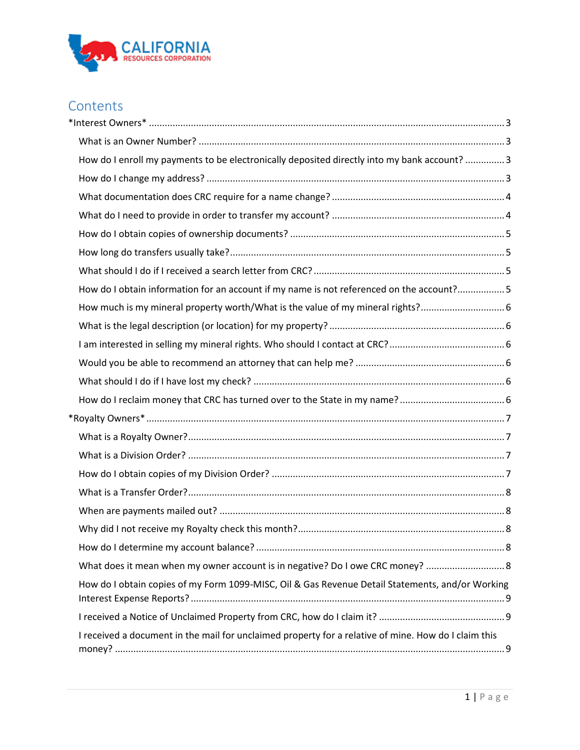

# **Contents**

| How do I enroll my payments to be electronically deposited directly into my bank account?  3         |
|------------------------------------------------------------------------------------------------------|
|                                                                                                      |
|                                                                                                      |
|                                                                                                      |
|                                                                                                      |
|                                                                                                      |
|                                                                                                      |
| How do I obtain information for an account if my name is not referenced on the account?5             |
| How much is my mineral property worth/What is the value of my mineral rights?                        |
|                                                                                                      |
|                                                                                                      |
|                                                                                                      |
|                                                                                                      |
|                                                                                                      |
|                                                                                                      |
|                                                                                                      |
|                                                                                                      |
|                                                                                                      |
|                                                                                                      |
|                                                                                                      |
|                                                                                                      |
|                                                                                                      |
| What does it mean when my owner account is in negative? Do I owe CRC money?  8                       |
| How do I obtain copies of my Form 1099-MISC, Oil & Gas Revenue Detail Statements, and/or Working     |
|                                                                                                      |
| I received a document in the mail for unclaimed property for a relative of mine. How do I claim this |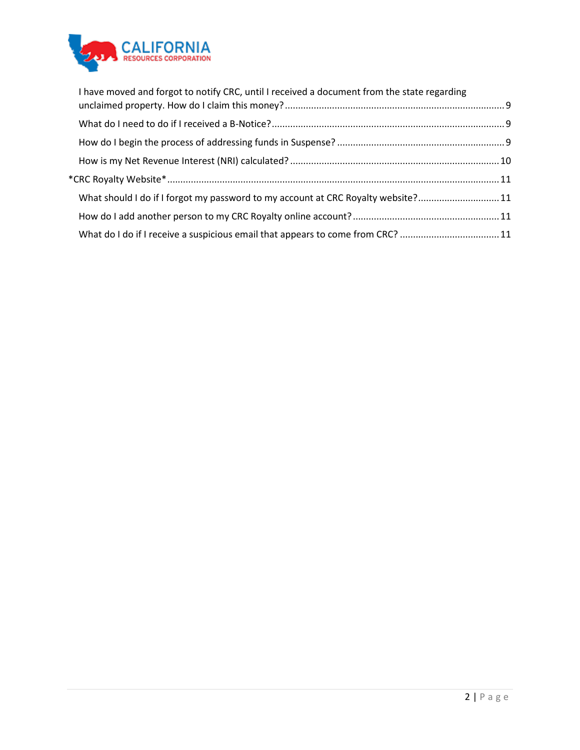

| I have moved and forgot to notify CRC, until I received a document from the state regarding |  |
|---------------------------------------------------------------------------------------------|--|
|                                                                                             |  |
|                                                                                             |  |
|                                                                                             |  |
|                                                                                             |  |
| What should I do if I forgot my password to my account at CRC Royalty website?11            |  |
|                                                                                             |  |
| What do I do if I receive a suspicious email that appears to come from CRC? 11              |  |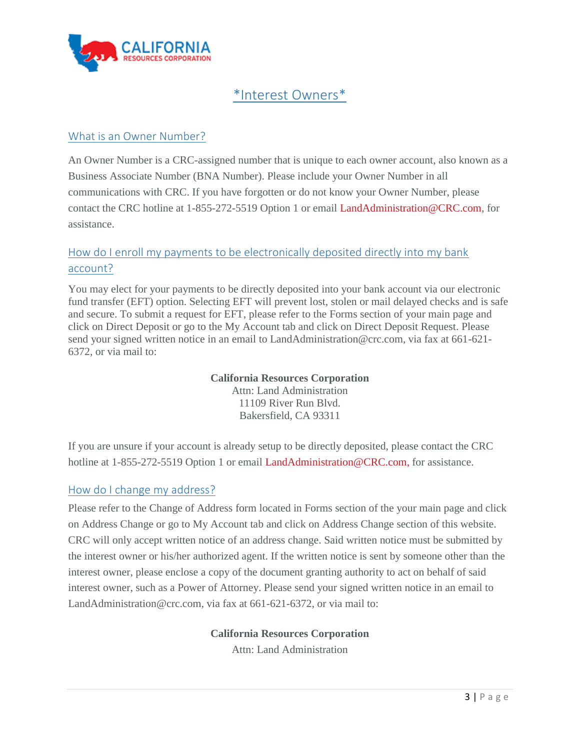

# \*Interest Owners\*

## <span id="page-2-1"></span><span id="page-2-0"></span>What is an Owner Number?

An Owner Number is a CRC-assigned number that is unique to each owner account, also known as a Business Associate Number (BNA Number). Please include your Owner Number in all communications with CRC. If you have forgotten or do not know your Owner Number, please contact the CRC hotline at 1-855-272-5519 Option 1 or email [LandAdministration@CRC.com,](mailto:LandAdministration@CRC.com) for assistance.

## <span id="page-2-2"></span>How do I enroll my payments to be electronically deposited directly into my bank account?

You may elect for your payments to be directly deposited into your bank account via our electronic fund transfer (EFT) option. Selecting EFT will prevent lost, stolen or mail delayed checks and is safe and secure. To submit a request for EFT, please refer to the Forms section of your main page and click on [Direct Deposit](http://www.crc.com/images/documents/interestowners/Direct-Deposit-Form.pdf) or go to the My Account tab and click on Direct Deposit Request. Please send your signed written notice in an email to LandAdministration@crc.com, via fax at 661-621- 6372, or via mail to:

> **California Resources Corporation** Attn: Land Administration 11109 River Run Blvd. Bakersfield, CA 93311

If you are unsure if your account is already setup to be directly deposited, please contact the CRC hotline at 1-855-272-5519 Option 1 or email [LandAdministration@CRC.com,](mailto:LandAdministration@CRC.com) for assistance.

## <span id="page-2-3"></span>How do I change my address?

Please refer to the [Change of Address](http://www.crc.com/images/documents/interestowners/Change-of-Address-Form.pdf) form located in Forms section of the your main page and click on Address Change or go to My Account tab and click on Address Change section of this website. CRC will only accept written notice of an address change. Said written notice must be submitted by the interest owner or his/her authorized agent. If the written notice is sent by someone other than the interest owner, please enclose a copy of the document granting authority to act on behalf of said interest owner, such as a Power of Attorney. Please send your signed written notice in an email to LandAdministration@crc.com, via fax at 661-621-6372, or via mail to:

## **California Resources Corporation**

Attn: Land Administration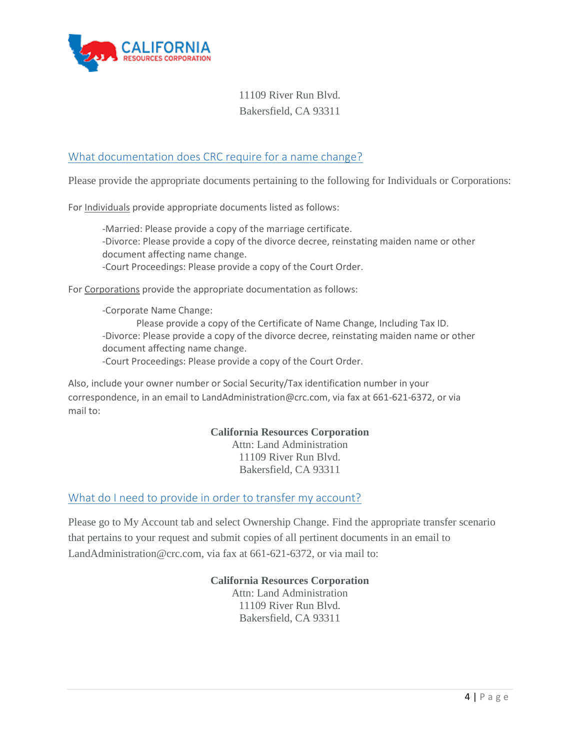

# 11109 River Run Blvd. Bakersfield, CA 93311

## <span id="page-3-0"></span>What documentation does CRC require for a name change?

Please provide the appropriate documents pertaining to the following for Individuals or Corporations:

For Individuals provide appropriate documents listed as follows:

-Married: Please provide a copy of the marriage certificate. -Divorce: Please provide a copy of the divorce decree, reinstating maiden name or other document affecting name change. -Court Proceedings: Please provide a copy of the Court Order.

For Corporations provide the appropriate documentation as follows:

-Corporate Name Change: Please provide a copy of the Certificate of Name Change, Including Tax ID. -Divorce: Please provide a copy of the divorce decree, reinstating maiden name or other document affecting name change. -Court Proceedings: Please provide a copy of the Court Order.

Also, include your owner number or Social Security/Tax identification number in your correspondence, in an email to LandAdministration@crc.com, via fax at 661-621-6372, or via mail to:

> **California Resources Corporation** Attn: Land Administration 11109 River Run Blvd.

Bakersfield, CA 93311

#### <span id="page-3-1"></span>What do I need to provide in order to transfer my account?

Please go to My Account tab and select Ownership Change. Find the appropriate transfer scenario that pertains to your request and submit copies of all pertinent documents in an email to LandAdministration@crc.com, via fax at 661-621-6372, or via mail to:

#### **California Resources Corporation**

Attn: Land Administration 11109 River Run Blvd. Bakersfield, CA 93311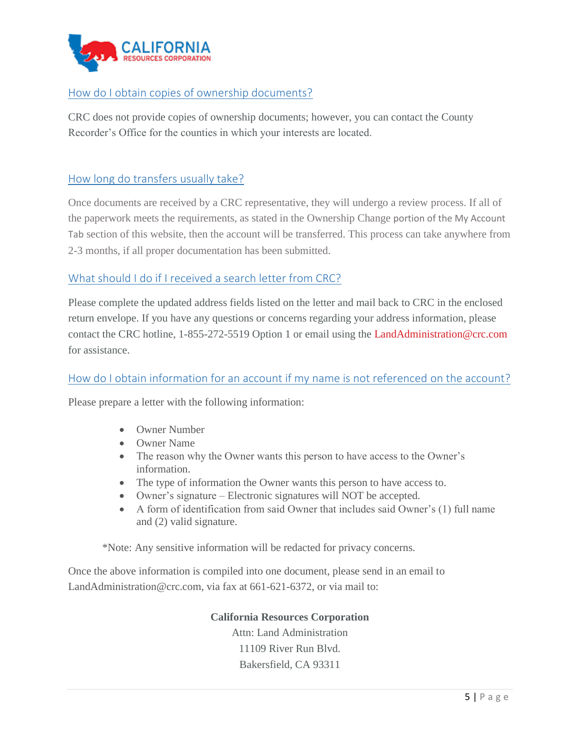

## <span id="page-4-0"></span>How do I obtain copies of ownership documents?

CRC does not provide copies of ownership documents; however, you can contact the County Recorder's Office for the counties in which your interests are located.

## <span id="page-4-1"></span>How long do transfers usually take?

Once documents are received by a CRC representative, they will undergo a review process. If all of the paperwork meets the requirements, as stated in the Ownership Change portion of the My Account Tab section of this website, then the account will be transferred. This process can take anywhere from 2-3 months, if all proper documentation has been submitted.

## <span id="page-4-2"></span>What should I do if I received a search letter from CRC?

Please complete the updated address fields listed on the letter and mail back to CRC in the enclosed return envelope. If you have any questions or concerns regarding your address information, please contact the CRC hotline, 1-855-272-5519 Option 1 or email using the [LandAdministration@crc.com](mailto:LandAdministration@crc.com) for assistance.

## <span id="page-4-3"></span>How do I obtain information for an account if my name is not referenced on the account?

Please prepare a letter with the following information:

- Owner Number
- Owner Name
- The reason why the Owner wants this person to have access to the Owner's information.
- The type of information the Owner wants this person to have access to.
- Owner's signature Electronic signatures will NOT be accepted.
- A form of identification from said Owner that includes said Owner's (1) full name and (2) valid signature.

\*Note: Any sensitive information will be redacted for privacy concerns.

Once the above information is compiled into one document, please send in an email to LandAdministration@crc.com, via fax at 661-621-6372, or via mail to:

> **California Resources Corporation** Attn: Land Administration 11109 River Run Blvd. Bakersfield, CA 93311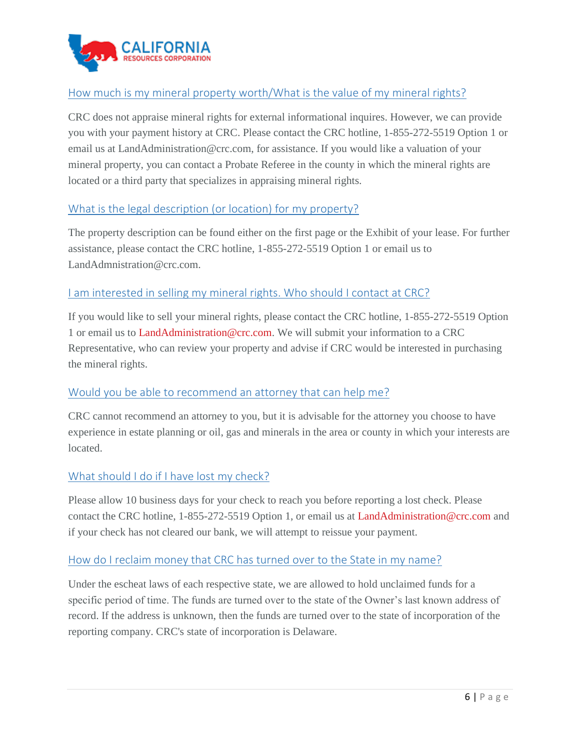

## <span id="page-5-0"></span>How much is my mineral property worth/What is the value of my mineral rights?

CRC does not appraise mineral rights for external informational inquires. However, we can provide you with your payment history at CRC. Please contact the CRC hotline, 1-855-272-5519 Option 1 or email us at LandAdministration@crc.com, for assistance. If you would like a valuation of your mineral property, you can contact a Probate Referee in the county in which the mineral rights are located or a third party that specializes in appraising mineral rights.

## <span id="page-5-1"></span>What is the legal description (or location) for my property?

The property description can be found either on the first page or the Exhibit of your lease. For further assistance, please contact the CRC hotline, 1-855-272-5519 Option 1 or email us to LandAdmnistration@crc.com.

## <span id="page-5-2"></span>I am interested in selling my mineral rights. Who should I contact at CRC?

If you would like to sell your mineral rights, please contact the CRC hotline, 1-855-272-5519 Option 1 or email us to [LandAdministration@crc.com.](mailto:LandAdministration@crc.com) We will submit your information to a CRC Representative, who can review your property and advise if CRC would be interested in purchasing the mineral rights.

## <span id="page-5-3"></span>Would you be able to recommend an attorney that can help me?

CRC cannot recommend an attorney to you, but it is advisable for the attorney you choose to have experience in estate planning or oil, gas and minerals in the area or county in which your interests are located.

## <span id="page-5-4"></span>What should I do if I have lost my check?

Please allow 10 business days for your check to reach you before reporting a lost check. Please contact the CRC hotline, 1-855-272-5519 Option 1, or email us at [LandAdministration@crc.com](mailto:LandAdministration@crc.com) and if your check has not cleared our bank, we will attempt to reissue your payment.

## <span id="page-5-5"></span>How do I reclaim money that CRC has turned over to the State in my name?

Under the escheat laws of each respective state, we are allowed to hold unclaimed funds for a specific period of time. The funds are turned over to the state of the Owner's last known address of record. If the address is unknown, then the funds are turned over to the state of incorporation of the reporting company. CRC's state of incorporation is Delaware.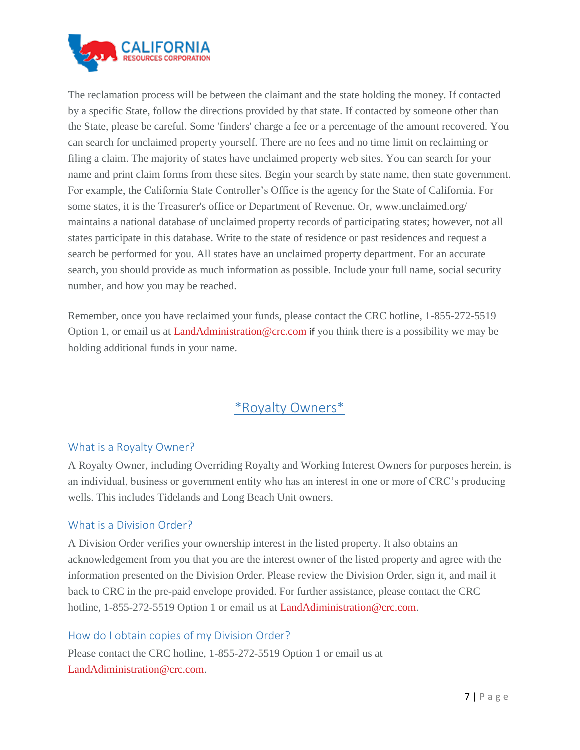

The reclamation process will be between the claimant and the state holding the money. If contacted by a specific State, follow the directions provided by that state. If contacted by someone other than the State, please be careful. Some 'finders' charge a fee or a percentage of the amount recovered. You can search for unclaimed property yourself. There are no fees and no time limit on reclaiming or filing a claim. The majority of states have unclaimed property web sites. You can search for your name and print claim forms from these sites. Begin your search by state name, then state government. For example, the California State Controller's Office is the agency for the State of California. For some states, it is the Treasurer's office or Department of Revenue. Or, [www.unclaimed.org/](https://www.unclaimed.org/) maintains a national database of unclaimed property records of participating states; however, not all states participate in this database. Write to the state of residence or past residences and request a search be performed for you. All states have an unclaimed property department. For an accurate search, you should provide as much information as possible. Include your full name, social security number, and how you may be reached.

Remember, once you have reclaimed your funds, please contact the CRC hotline, 1-855-272-5519 Option 1, or email us at [LandAdministration@crc.com](mailto:LandAdministration@crc.com) if you think there is a possibility we may be holding additional funds in your name.

# \*Royalty Owners\*

## <span id="page-6-1"></span><span id="page-6-0"></span>What is a Royalty Owner?

A Royalty Owner, including Overriding Royalty and Working Interest Owners for purposes herein, is an individual, business or government entity who has an interest in one or more of CRC's producing wells. This includes Tidelands and Long Beach Unit owners.

## <span id="page-6-2"></span>What is a Division Order?

A Division Order verifies your ownership interest in the listed property. It also obtains an acknowledgement from you that you are the interest owner of the listed property and agree with the information presented on the Division Order. Please review the Division Order, sign it, and mail it back to CRC in the pre-paid envelope provided. For further assistance, please contact the CRC hotline, 1-855-272-5519 Option 1 or email us at [LandAdiministration@crc.com.](mailto:LandAdiministration@crc.com)

## <span id="page-6-3"></span>How do I obtain copies of my Division Order?

Please contact the CRC hotline, 1-855-272-5519 Option 1 or email us at [LandAdiministration@crc.com.](mailto:LandAdiministration@crc.com)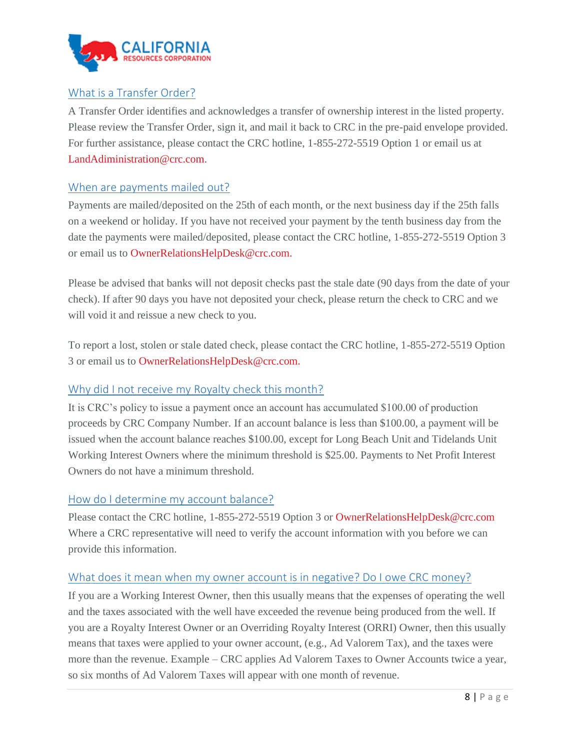

## <span id="page-7-0"></span>What is a Transfer Order?

A Transfer Order identifies and acknowledges a transfer of ownership interest in the listed property. Please review the Transfer Order, sign it, and mail it back to CRC in the pre-paid envelope provided. For further assistance, please contact the CRC hotline, 1-855-272-5519 Option 1 or email us at [LandAdiministration@crc.com.](mailto:LandAdiministration@crc.com)

#### <span id="page-7-1"></span>When are payments mailed out?

Payments are mailed/deposited on the 25th of each month, or the next business day if the 25th falls on a weekend or holiday. If you have not received your payment by the tenth business day from the date the payments were mailed/deposited, please contact the CRC hotline, 1-855-272-5519 Option 3 or email us to [OwnerRelationsHelpDesk@crc.com.](mailto:OwnerRelationsHelpDesk@crc.com.)

Please be advised that banks will not deposit checks past the stale date (90 days from the date of your check). If after 90 days you have not deposited your check, please return the check to CRC and we will void it and reissue a new check to you.

To report a lost, stolen or stale dated check, please contact the CRC hotline, 1-855-272-5519 Option 3 or email us to [OwnerRelationsHelpDesk@crc.com.](mailto:OwnerRelationsHelpDesk@crc.com.)

## <span id="page-7-2"></span>Why did I not receive my Royalty check this month?

It is CRC's policy to issue a payment once an account has accumulated \$100.00 of production proceeds by CRC Company Number. If an account balance is less than \$100.00, a payment will be issued when the account balance reaches \$100.00, except for Long Beach Unit and Tidelands Unit Working Interest Owners where the minimum threshold is \$25.00. Payments to Net Profit Interest Owners do not have a minimum threshold.

#### <span id="page-7-3"></span>How do I determine my account balance?

Please contact the CRC hotline, 1-855-272-5519 Option 3 or [OwnerRelationsHelpDesk@crc.com](mailto:OwnerRelationsHelpDesk@crc.com.) Where a CRC representative will need to verify the account information with you before we can provide this information.

## <span id="page-7-4"></span>What does it mean when my owner account is in negative? Do I owe CRC money?

If you are a Working Interest Owner, then this usually means that the expenses of operating the well and the taxes associated with the well have exceeded the revenue being produced from the well. If you are a Royalty Interest Owner or an Overriding Royalty Interest (ORRI) Owner, then this usually means that taxes were applied to your owner account, (e.g., Ad Valorem Tax), and the taxes were more than the revenue. Example – CRC applies Ad Valorem Taxes to Owner Accounts twice a year, so six months of Ad Valorem Taxes will appear with one month of revenue.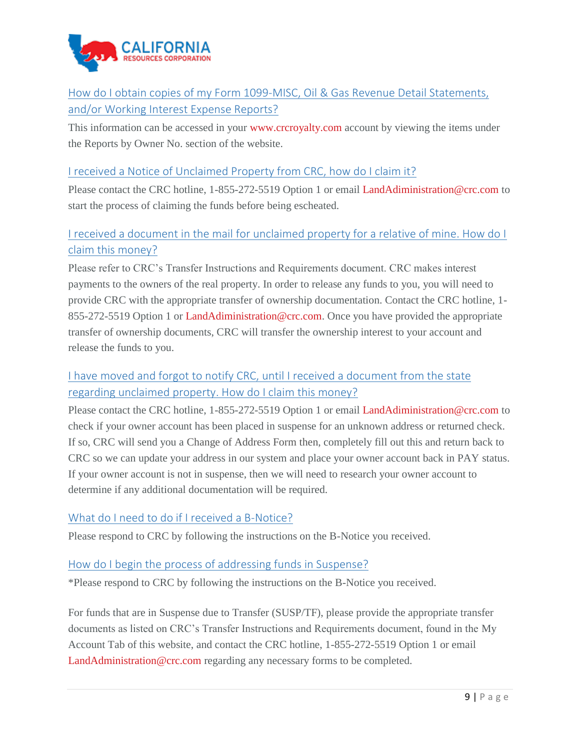

<span id="page-8-0"></span>How do I obtain copies of my Form 1099-MISC, Oil & Gas Revenue Detail Statements, and/or Working Interest Expense Reports?

This information can be accessed in your [www.crcroyalty.com](https://www.crcroyalty.com/) account by viewing the items under the Reports by Owner No. section of the website.

## <span id="page-8-1"></span>I received a Notice of Unclaimed Property from CRC, how do I claim it?

Please contact the CRC hotline, 1-855-272-5519 Option 1 or email [LandAdiministration@crc.com](mailto:LandAdiministration@crc.com) to start the process of claiming the funds before being escheated.

## <span id="page-8-2"></span>I received a document in the mail for unclaimed property for a relative of mine. How do I claim this money?

Please refer to CRC's Transfer Instructions and Requirements document. CRC makes interest payments to the owners of the real property. In order to release any funds to you, you will need to provide CRC with the appropriate transfer of ownership documentation. Contact the CRC hotline, 1- 855-272-5519 Option 1 or [LandAdiministration@crc.com.](mailto:LandAdiministration@crc.com) Once you have provided the appropriate transfer of ownership documents, CRC will transfer the ownership interest to your account and release the funds to you.

## <span id="page-8-3"></span>I have moved and forgot to notify CRC, until I received a document from the state regarding unclaimed property. How do I claim this money?

Please contact the CRC hotline, 1-855-272-5519 Option 1 or email [LandAdiministration@crc.com](mailto:LandAdiministration@crc.com) to check if your owner account has been placed in suspense for an unknown address or returned check. If so, CRC will send you a [Change of Address Form](http://www.crc.com/images/documents/interestowners/Change-of-Address-Form.pdf) then, completely fill out this and return back to CRC so we can update your address in our system and place your owner account back in PAY status. If your owner account is not in suspense, then we will need to research your owner account to determine if any additional documentation will be required.

## <span id="page-8-4"></span>What do I need to do if I received a B-Notice?

Please respond to CRC by following the instructions on the B-Notice you received.

## <span id="page-8-5"></span>How do I begin the process of addressing funds in Suspense?

\*Please respond to CRC by following the instructions on the B-Notice you received.

For funds that are in Suspense due to Transfer (SUSP/TF), please provide the appropriate transfer documents as listed on CRC's Transfer Instructions and Requirements document, found in the My Account Tab of this website, and contact the CRC hotline, 1-855-272-5519 Option 1 or email [LandAdministration@crc.com](mailto:LandAdministration@crc.com) regarding any necessary forms to be completed.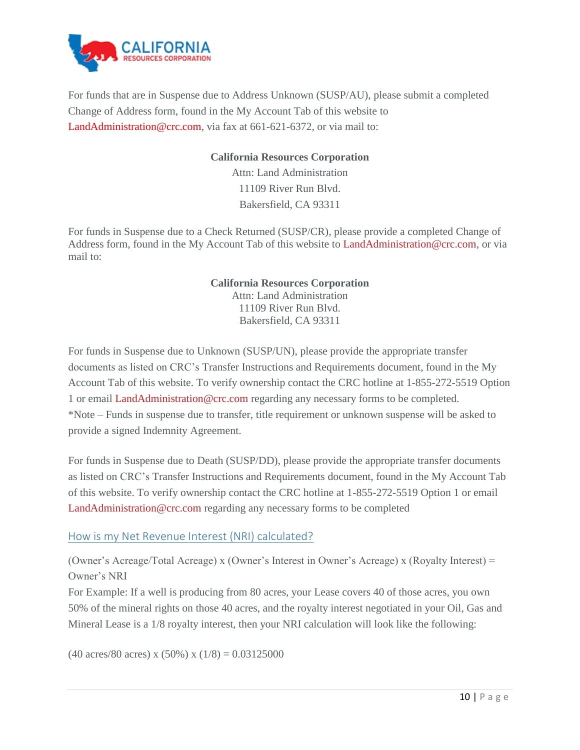

For funds that are in Suspense due to Address Unknown (SUSP/AU), please submit a completed Change of Address form, found in the My Account Tab of this website to LandAdministration@crc.com, via fax at 661-621-6372, or via mail to:

#### **California Resources Corporation**

Attn: Land Administration 11109 River Run Blvd. Bakersfield, CA 93311

For funds in Suspense due to a Check Returned (SUSP/CR), please provide a completed [Change of](http://www.crc.com/images/documents/interestowners/Change-of-Address-Form.pdf)  [Address](http://www.crc.com/images/documents/interestowners/Change-of-Address-Form.pdf) form, found in the My Account Tab of this website to [LandAdministration@crc.com,](mailto:LandAdministration@crc.com) or via mail to:

#### **California Resources Corporation**

Attn: Land Administration 11109 River Run Blvd. Bakersfield, CA 93311

For funds in Suspense due to Unknown (SUSP/UN), please provide the appropriate transfer documents as listed on CRC's [Transfer Instructions and Requirements](http://www.crc.com/images/documents/interestowners/Transfer-Instructions-and-Requirements.pdf) document, found in the My Account Tab of this website. To verify ownership contact the CRC hotline at 1-855-272-5519 Option 1 or email [LandAdministration@crc.com](mailto:LandAdministration@crc.com) regarding any necessary forms to be completed. \*Note – Funds in suspense due to transfer, title requirement or unknown suspense will be asked to provide a signed Indemnity Agreement.

For funds in Suspense due to Death (SUSP/DD), please provide the appropriate transfer documents as listed on CRC's [Transfer Instructions and Requirements](http://www.crc.com/images/documents/interestowners/Transfer-Instructions-and-Requirements.pdf) document, found in the My Account Tab of this website. To verify ownership contact the CRC hotline at 1-855-272-5519 Option 1 or email [LandAdministration@crc.com](mailto:LandAdministration@crc.com) regarding any necessary forms to be completed

## <span id="page-9-0"></span>How is my Net Revenue Interest (NRI) calculated?

(Owner's Acreage/Total Acreage) x (Owner's Interest in Owner's Acreage) x (Royalty Interest) = Owner's NRI

For Example: If a well is producing from 80 acres, your Lease covers 40 of those acres, you own 50% of the mineral rights on those 40 acres, and the royalty interest negotiated in your Oil, Gas and Mineral Lease is a 1/8 royalty interest, then your NRI calculation will look like the following:

 $(40 \text{ acres}/80 \text{ acres}) \times (50\%) \times (1/8) = 0.03125000$